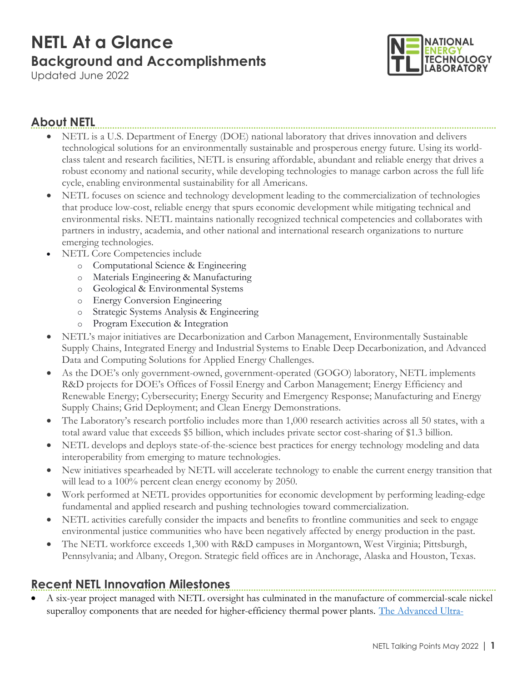# NETL At a Glance Background and Accomplishments

Updated June 2022



#### About NETL

- NETL is a U.S. Department of Energy (DOE) national laboratory that drives innovation and delivers technological solutions for an environmentally sustainable and prosperous energy future. Using its worldclass talent and research facilities, NETL is ensuring affordable, abundant and reliable energy that drives a robust economy and national security, while developing technologies to manage carbon across the full life cycle, enabling environmental sustainability for all Americans.
- NETL focuses on science and technology development leading to the commercialization of technologies that produce low-cost, reliable energy that spurs economic development while mitigating technical and environmental risks. NETL maintains nationally recognized technical competencies and collaborates with partners in industry, academia, and other national and international research organizations to nurture emerging technologies.
- NETL Core Competencies include
	- o Computational Science & Engineering
	- o Materials Engineering & Manufacturing
	- o Geological & Environmental Systems
	- o Energy Conversion Engineering
	- o Strategic Systems Analysis & Engineering
	- o Program Execution & Integration
- NETL's major initiatives are Decarbonization and Carbon Management, Environmentally Sustainable Supply Chains, Integrated Energy and Industrial Systems to Enable Deep Decarbonization, and Advanced Data and Computing Solutions for Applied Energy Challenges.
- As the DOE's only government-owned, government-operated (GOGO) laboratory, NETL implements R&D projects for DOE's Offices of Fossil Energy and Carbon Management; Energy Efficiency and Renewable Energy; Cybersecurity; Energy Security and Emergency Response; Manufacturing and Energy Supply Chains; Grid Deployment; and Clean Energy Demonstrations.
- The Laboratory's research portfolio includes more than 1,000 research activities across all 50 states, with a total award value that exceeds \$5 billion, which includes private sector cost-sharing of \$1.3 billion.
- NETL develops and deploys state-of-the-science best practices for energy technology modeling and data interoperability from emerging to mature technologies.
- New initiatives spearheaded by NETL will accelerate technology to enable the current energy transition that will lead to a 100% percent clean energy economy by 2050.
- Work performed at NETL provides opportunities for economic development by performing leading-edge fundamental and applied research and pushing technologies toward commercialization.
- NETL activities carefully consider the impacts and benefits to frontline communities and seek to engage environmental justice communities who have been negatively affected by energy production in the past.
- The NETL workforce exceeds 1,300 with R&D campuses in Morgantown, West Virginia; Pittsburgh, Pennsylvania; and Albany, Oregon. Strategic field offices are in Anchorage, Alaska and Houston, Texas.

#### Recent NETL Innovation Milestones

 A six-year project managed with NETL oversight has culminated in the manufacture of commercial-scale nickel superalloy components that are needed for higher-efficiency thermal power plants. The Advanced Ultra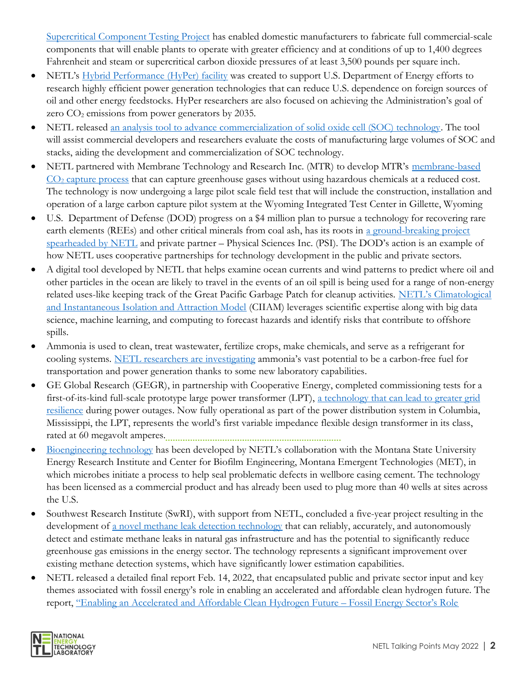Supercritical Component Testing Project has enabled domestic manufacturers to fabricate full commercial-scale components that will enable plants to operate with greater efficiency and at conditions of up to 1,400 degrees Fahrenheit and steam or supercritical carbon dioxide pressures of at least 3,500 pounds per square inch.

- NETL's Hybrid Performance (HyPer) facility was created to support U.S. Department of Energy efforts to research highly efficient power generation technologies that can reduce U.S. dependence on foreign sources of oil and other energy feedstocks. HyPer researchers are also focused on achieving the Administration's goal of zero  $CO<sub>2</sub>$  emissions from power generators by 2035.
- NETL released an analysis tool to advance commercialization of solid oxide cell (SOC) technology. The tool will assist commercial developers and researchers evaluate the costs of manufacturing large volumes of SOC and stacks, aiding the development and commercialization of SOC technology.
- NETL partnered with Membrane Technology and Research Inc. (MTR) to develop MTR's membrane-based  $CO<sub>2</sub>$  capture process that can capture greenhouse gases without using hazardous chemicals at a reduced cost. The technology is now undergoing a large pilot scale field test that will include the construction, installation and operation of a large carbon capture pilot system at the Wyoming Integrated Test Center in Gillette, Wyoming
- U.S. Department of Defense (DOD) progress on a \$4 million plan to pursue a technology for recovering rare earth elements (REEs) and other critical minerals from coal ash, has its roots in a ground-breaking project spearheaded by NETL and private partner – Physical Sciences Inc. (PSI). The DOD's action is an example of how NETL uses cooperative partnerships for technology development in the public and private sectors.
- A digital tool developed by NETL that helps examine ocean currents and wind patterns to predict where oil and other particles in the ocean are likely to travel in the events of an oil spill is being used for a range of non-energy related uses-like keeping track of the Great Pacific Garbage Patch for cleanup activities. NETL's Climatological and Instantaneous Isolation and Attraction Model (CIIAM) leverages scientific expertise along with big data science, machine learning, and computing to forecast hazards and identify risks that contribute to offshore spills.
- Ammonia is used to clean, treat wastewater, fertilize crops, make chemicals, and serve as a refrigerant for cooling systems. NETL researchers are investigating ammonia's vast potential to be a carbon-free fuel for transportation and power generation thanks to some new laboratory capabilities.
- GE Global Research (GEGR), in partnership with Cooperative Energy, completed commissioning tests for a first-of-its-kind full-scale prototype large power transformer (LPT), a technology that can lead to greater grid resilience during power outages. Now fully operational as part of the power distribution system in Columbia, Mississippi, the LPT, represents the world's first variable impedance flexible design transformer in its class, rated at 60 megavolt amperes.
- Bioengineering technology has been developed by NETL's collaboration with the Montana State University Energy Research Institute and Center for Biofilm Engineering, Montana Emergent Technologies (MET), in which microbes initiate a process to help seal problematic defects in wellbore casing cement. The technology has been licensed as a commercial product and has already been used to plug more than 40 wells at sites across the U.S.
- Southwest Research Institute (SwRI), with support from NETL, concluded a five-year project resulting in the development of a novel methane leak detection technology that can reliably, accurately, and autonomously detect and estimate methane leaks in natural gas infrastructure and has the potential to significantly reduce greenhouse gas emissions in the energy sector. The technology represents a significant improvement over existing methane detection systems, which have significantly lower estimation capabilities.
- NETL released a detailed final report Feb. 14, 2022, that encapsulated public and private sector input and key themes associated with fossil energy's role in enabling an accelerated and affordable clean hydrogen future. The report, "Enabling an Accelerated and Affordable Clean Hydrogen Future – Fossil Energy Sector's Role